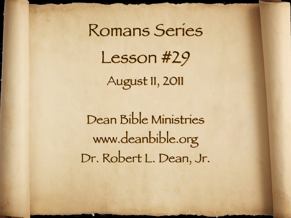Romans Series Lesson #29 August 11, 2011

Dean Bible Ministries [www.deanbible.org](http://www.deanbible.org) [Dr. Robert L. Dean, Jr.](http://www.deanbible.org)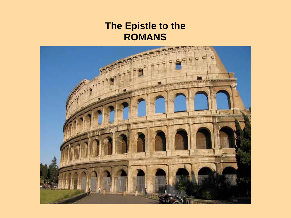### **The Epistle to the ROMANS**

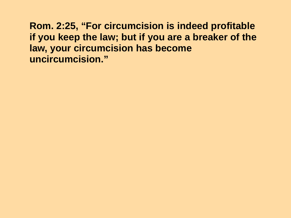**Rom. 2:25, "For circumcision is indeed profitable if you keep the law; but if you are a breaker of the law, your circumcision has become uncircumcision."**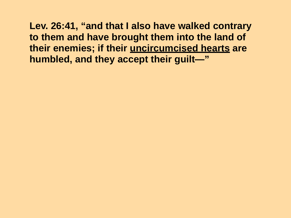**Lev. 26:41, "and that I also have walked contrary to them and have brought them into the land of their enemies; if their uncircumcised hearts are humbled, and they accept their guilt—"**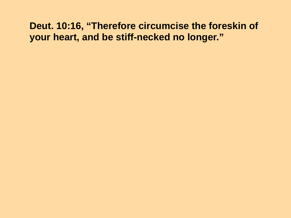### **Deut. 10:16, "Therefore circumcise the foreskin of your heart, and be stiff-necked no longer."**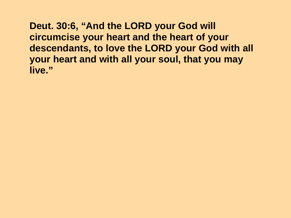**Deut. 30:6, "And the LORD your God will circumcise your heart and the heart of your descendants, to love the LORD your God with all your heart and with all your soul, that you may live."**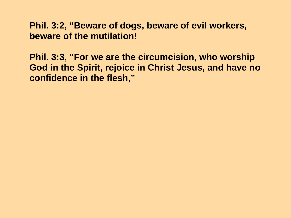#### **Phil. 3:2, "Beware of dogs, beware of evil workers, beware of the mutilation!**

**Phil. 3:3, "For we are the circumcision, who worship God in the Spirit, rejoice in Christ Jesus, and have no confidence in the flesh,"**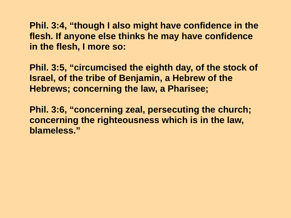**Phil. 3:4, "though I also might have confidence in the flesh. If anyone else thinks he may have confidence in the flesh, I more so:** 

**Phil. 3:5, "circumcised the eighth day, of the stock of Israel, of the tribe of Benjamin, a Hebrew of the Hebrews; concerning the law, a Pharisee;** 

**Phil. 3:6, "concerning zeal, persecuting the church; concerning the righteousness which is in the law, blameless."**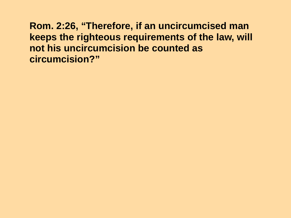**Rom. 2:26, "Therefore, if an uncircumcised man keeps the righteous requirements of the law, will not his uncircumcision be counted as circumcision?"**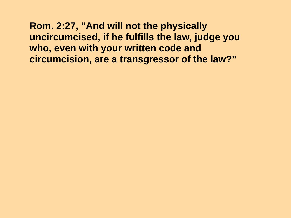### **Rom. 2:27, "And will not the physically uncircumcised, if he fulfills the law, judge you who, even with your written code and circumcision, are a transgressor of the law?"**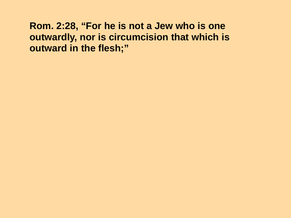### **Rom. 2:28, "For he is not a Jew who is one outwardly, nor is circumcision that which is outward in the flesh;"**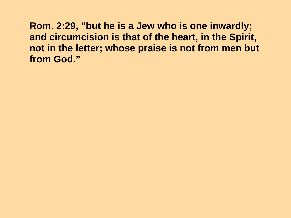**Rom. 2:29, "but he is a Jew who is one inwardly; and circumcision is that of the heart, in the Spirit, not in the letter; whose praise is not from men but from God."**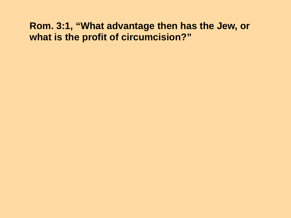### **Rom. 3:1, "What advantage then has the Jew, or what is the profit of circumcision?"**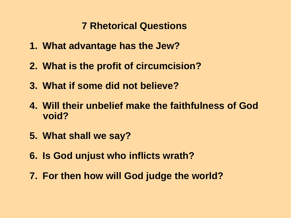## **7 Rhetorical Questions**

- **1. What advantage has the Jew?**
- **2. What is the profit of circumcision?**
- **3. What if some did not believe?**
- **4. Will their unbelief make the faithfulness of God void?**
- **5. What shall we say?**
- **6. Is God unjust who inflicts wrath?**
- **7. For then how will God judge the world?**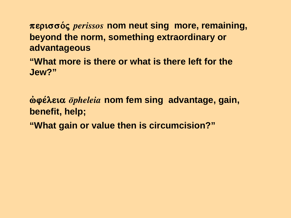**περισσός** *perissos* nom neut sing more, remaining, **beyond the norm, something extraordinary or advantageous** 

**"What more is there or what is there left for the Jew?"**

*<u>δυθέλεια <i>δpheleia* nom fem sing advantage, gain, </u> **benefit, help; "What gain or value then is circumcision?"**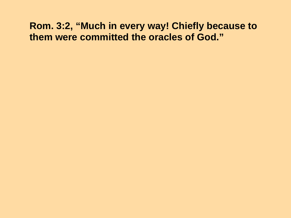### **Rom. 3:2, "Much in every way! Chiefly because to them were committed the oracles of God."**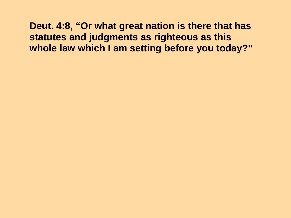**Deut. 4:8, "Or what great nation is there that has statutes and judgments as righteous as this whole law which I am setting before you today?"**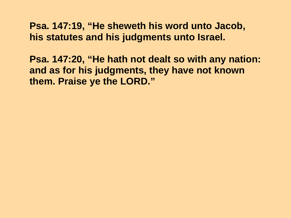**Psa. 147:19, "He sheweth his word unto Jacob, his statutes and his judgments unto Israel.** 

**Psa. 147:20, "He hath not dealt so with any nation: and as for his judgments, they have not known them. Praise ye the LORD."**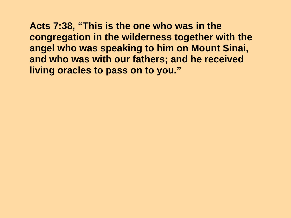**Acts 7:38, "This is the one who was in the congregation in the wilderness together with the angel who was speaking to him on Mount Sinai, and who was with our fathers; and he received living oracles to pass on to you."**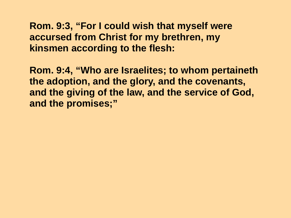### **Rom. 9:3, "For I could wish that myself were accursed from Christ for my brethren, my kinsmen according to the flesh:**

**Rom. 9:4, "Who are Israelites; to whom pertaineth the adoption, and the glory, and the covenants, and the giving of the law, and the service of God, and the promises;"**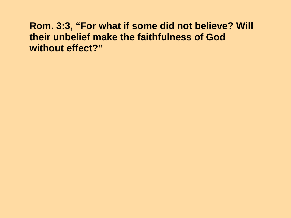### **Rom. 3:3, "For what if some did not believe? Will their unbelief make the faithfulness of God without effect?"**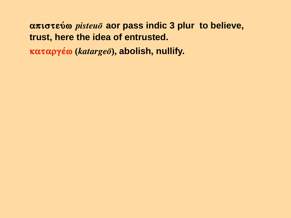# **απιστεύω** *pisteuō* aor pass indic 3 plur to believe, **trust, here the idea of entrusted.**

**καταργέω** (*katargeō*), abolish, nullify.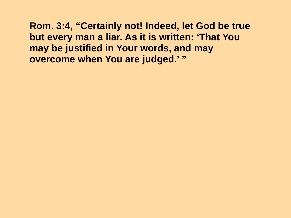**Rom. 3:4, "Certainly not! Indeed, let God be true but every man a liar. As it is written: 'That You may be justified in Your words, and may overcome when You are judged.' "**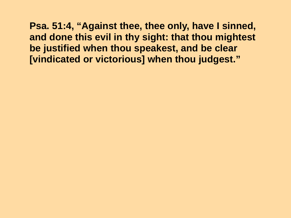**Psa. 51:4, "Against thee, thee only, have I sinned, and done this evil in thy sight: that thou mightest be justified when thou speakest, and be clear [vindicated or victorious] when thou judgest."**